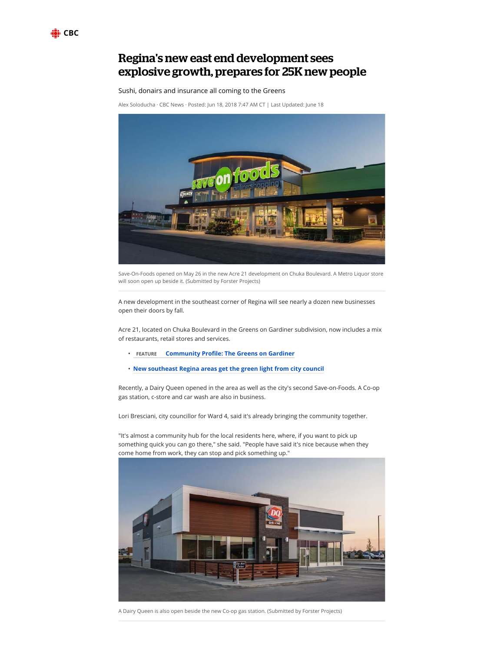

## Regina's new east end development sees explosive growth, prepares for 25K new people

## Sushi, donairs and insurance all coming to the Greens

Alex Soloducha · CBC News · Posted: Jun 18, 2018 7:47 AM CT | Last Updated: June 18



Save-On-Foods opened on May 26 in the new Acre 21 development on Chuka Boulevard. A Metro Liquor store will soon open up beside it. (Submitted by Forster Projects)

A new development in the southeast corner of Regina will see nearly a dozen new businesses open their doors by fall.

Acre 21, located on Chuka Boulevard in the Greens on Gardiner subdivision, now includes a mix of restaurants, retail stores and services.

- **FEATURE Community Profile: The Greens on Gardiner**
- **New southeast Regina areas get the green light from city council**

Recently, a Dairy Queen opened in the area as well as the city's second Save-on-Foods. A Co-op gas station, c-store and car wash are also in business.

Lori Bresciani, city councillor for Ward 4, said it's already bringing the community together.

"It's almost a community hub for the local residents here, where, if you want to pick up something quick you can go there," she said. "People have said it's nice because when they come home from work, they can stop and pick something up."



A Dairy Queen is also open beside the new Co-op gas station. (Submitted by Forster Projects)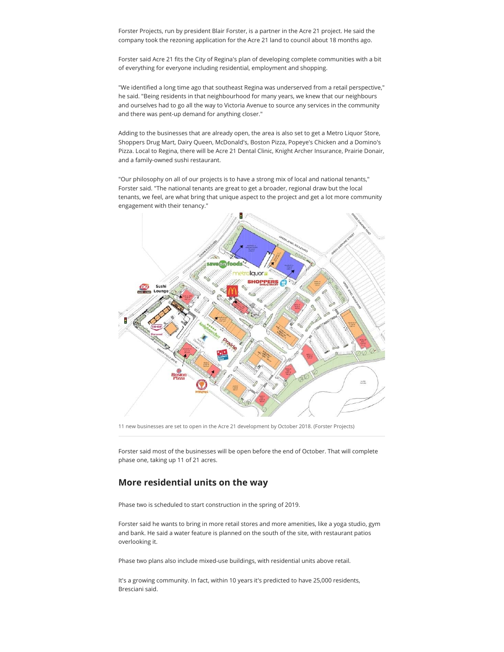Forster Projects, run by president Blair Forster, is a partner in the Acre 21 project. He said the company took the rezoning application for the Acre 21 land to council about 18 months ago.

Forster said Acre 21 fits the City of Regina's plan of developing complete communities with a bit of everything for everyone including residential, employment and shopping.

"We identified a long time ago that southeast Regina was underserved from a retail perspective," he said. "Being residents in that neighbourhood for many years, we knew that our neighbours and ourselves had to go all the way to Victoria Avenue to source any services in the community and there was pent-up demand for anything closer."

Adding to the businesses that are already open, the area is also set to get a Metro Liquor Store, Shoppers Drug Mart, Dairy Queen, McDonald's, Boston Pizza, Popeye's Chicken and a Domino's Pizza. Local to Regina, there will be Acre 21 Dental Clinic, Knight Archer Insurance, Prairie Donair, and a family-owned sushi restaurant.

"Our philosophy on all of our projects is to have a strong mix of local and national tenants," Forster said. "The national tenants are great to get a broader, regional draw but the local tenants, we feel, are what bring that unique aspect to the project and get a lot more community engagement with their tenancy."



11 new businesses are set to open in the Acre 21 development by October 2018. (Forster Projects)

Forster said most of the businesses will be open before the end of October. That will complete phase one, taking up 11 of 21 acres.

## **More residential units on the way**

Phase two is scheduled to start construction in the spring of 2019.

Forster said he wants to bring in more retail stores and more amenities, like a yoga studio, gym and bank. He said a water feature is planned on the south of the site, with restaurant patios overlooking it.

Phase two plans also include mixed-use buildings, with residential units above retail.

It's a growing community. In fact, within 10 years it's predicted to have 25,000 residents, Bresciani said.